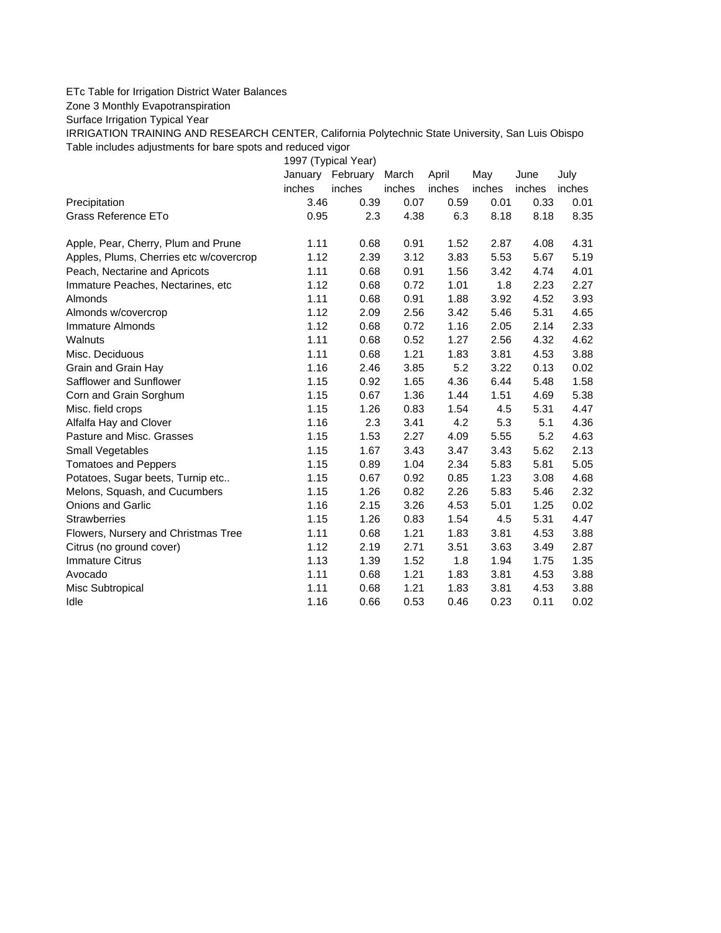## ETc Table for Irrigation District Water Balances

Zone 3 Monthly Evapotranspiration

Surface Irrigation Typical Year

IRRIGATION TRAINING AND RESEARCH CENTER, California Polytechnic State University, San Luis Obispo Table includes adjustments for bare spots and reduced vigor

1997 (Typical Year) January February March April May June July inches inches inches inches inches inches inches Precipitation 3.46 0.39 0.07 0.59 0.01 0.33 0.01 Grass Reference ETo **0.95** 2.3 4.38 6.3 8.18 8.18 8.35 Apple, Pear, Cherry, Plum and Prune 1.11 0.68 0.91 1.52 2.87 4.08 4.31 Apples, Plums, Cherries etc w/covercrop 1.12 2.39 3.12 3.83 5.53 5.67 5.19 Peach, Nectarine and Apricots 1.11 0.68 0.91 1.56 3.42 4.74 4.01 Immature Peaches, Nectarines, etc 1.12 0.68 0.72 1.01 1.8 2.23 2.27 Almonds 1.11 0.68 0.91 1.88 3.92 4.52 3.93 Almonds w/covercrop 1.12 2.09 2.56 3.42 5.46 5.31 4.65 Immature Almonds 1.12 0.68 0.72 1.16 2.05 2.14 2.33 Walnuts 1.11 0.68 0.52 1.27 2.56 4.32 4.62 Misc. Deciduous 1.11 0.68 1.21 1.83 3.81 4.53 3.88 Grain and Grain Hay 1.16 2.46 3.85 5.2 3.22 0.13 0.02 Safflower and Sunflower 1.15 0.92 1.65 4.36 6.44 5.48 1.58 Corn and Grain Sorghum 1.15 0.67 1.36 1.44 1.51 4.69 5.38 Misc. field crops **1.15** 1.26 0.83 1.54 4.5 5.31 4.47 Alfalfa Hay and Clover 1.16 2.3 3.41 4.2 5.3 5.1 4.36 Pasture and Misc. Grasses 2.1.15 1.53 2.27 4.09 5.55 5.2 4.63 Small Vegetables 1.15 1.67 3.43 3.47 3.43 5.62 2.13 Tomatoes and Peppers 1.15 0.89 1.04 2.34 5.83 5.81 5.05 Potatoes, Sugar beets, Turnip etc.. <br>1.15 0.67 0.92 0.85 1.23 3.08 4.68 Melons, Squash, and Cucumbers 1.15 1.26 0.82 2.26 5.83 5.46 2.32 Onions and Garlic 1.16 2.15 3.26 4.53 5.01 1.25 0.02 Strawberries 1.15 1.26 0.83 1.54 4.5 5.31 4.47 Flowers, Nursery and Christmas Tree 1.11 0.68 1.21 1.83 3.81 4.53 3.88 Citrus (no ground cover) 1.12 2.19 2.71 3.51 3.63 3.49 2.87 Immature Citrus 1.13 1.39 1.52 1.8 1.94 1.75 1.35 Avocado 1.11 0.68 1.21 1.83 3.81 4.53 3.88 Misc Subtropical 1.11 0.68 1.21 1.83 3.81 4.53 3.88 Idle 1.16 0.66 0.53 0.46 0.23 0.11 0.02